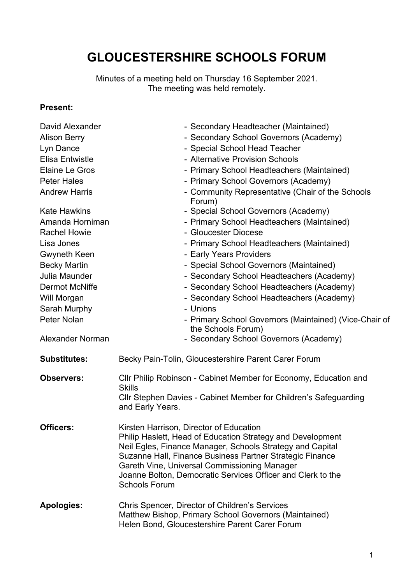# **GLOUCESTERSHIRE SCHOOLS FORUM**

Minutes of a meeting held on Thursday 16 September 2021. The meeting was held remotely.

#### **Present:**

| David Alexander        | - Secondary Headteacher (Maintained)                                                                                                                                                                                                                                                                                                                                  |
|------------------------|-----------------------------------------------------------------------------------------------------------------------------------------------------------------------------------------------------------------------------------------------------------------------------------------------------------------------------------------------------------------------|
| <b>Alison Berry</b>    | - Secondary School Governors (Academy)                                                                                                                                                                                                                                                                                                                                |
| Lyn Dance              | - Special School Head Teacher                                                                                                                                                                                                                                                                                                                                         |
| <b>Elisa Entwistle</b> | - Alternative Provision Schools                                                                                                                                                                                                                                                                                                                                       |
| Elaine Le Gros         | - Primary School Headteachers (Maintained)                                                                                                                                                                                                                                                                                                                            |
| <b>Peter Hales</b>     | - Primary School Governors (Academy)                                                                                                                                                                                                                                                                                                                                  |
| <b>Andrew Harris</b>   | - Community Representative (Chair of the Schools<br>Forum)                                                                                                                                                                                                                                                                                                            |
| <b>Kate Hawkins</b>    | - Special School Governors (Academy)                                                                                                                                                                                                                                                                                                                                  |
| Amanda Horniman        | - Primary School Headteachers (Maintained)                                                                                                                                                                                                                                                                                                                            |
| <b>Rachel Howie</b>    | - Gloucester Diocese                                                                                                                                                                                                                                                                                                                                                  |
| Lisa Jones             | - Primary School Headteachers (Maintained)                                                                                                                                                                                                                                                                                                                            |
| Gwyneth Keen           | - Early Years Providers                                                                                                                                                                                                                                                                                                                                               |
| <b>Becky Martin</b>    | - Special School Governors (Maintained)                                                                                                                                                                                                                                                                                                                               |
| Julia Maunder          | - Secondary School Headteachers (Academy)                                                                                                                                                                                                                                                                                                                             |
| <b>Dermot McNiffe</b>  | - Secondary School Headteachers (Academy)                                                                                                                                                                                                                                                                                                                             |
| Will Morgan            | - Secondary School Headteachers (Academy)                                                                                                                                                                                                                                                                                                                             |
| Sarah Murphy           | - Unions                                                                                                                                                                                                                                                                                                                                                              |
| Peter Nolan            | - Primary School Governors (Maintained) (Vice-Chair of<br>the Schools Forum)                                                                                                                                                                                                                                                                                          |
| Alexander Norman       | - Secondary School Governors (Academy)                                                                                                                                                                                                                                                                                                                                |
| <b>Substitutes:</b>    | Becky Pain-Tolin, Gloucestershire Parent Carer Forum                                                                                                                                                                                                                                                                                                                  |
| <b>Observers:</b>      | CIIr Philip Robinson - Cabinet Member for Economy, Education and<br><b>Skills</b>                                                                                                                                                                                                                                                                                     |
|                        | Cllr Stephen Davies - Cabinet Member for Children's Safeguarding<br>and Early Years.                                                                                                                                                                                                                                                                                  |
| <b>Officers:</b>       | Kirsten Harrison, Director of Education<br>Philip Haslett, Head of Education Strategy and Development<br>Neil Egles, Finance Manager, Schools Strategy and Capital<br>Suzanne Hall, Finance Business Partner Strategic Finance<br>Gareth Vine, Universal Commissioning Manager<br>Joanne Bolton, Democratic Services Officer and Clerk to the<br><b>Schools Forum</b> |
| <b>Apologies:</b>      | Chris Spencer, Director of Children's Services<br>Matthew Bishop, Primary School Governors (Maintained)<br>Helen Bond, Gloucestershire Parent Carer Forum                                                                                                                                                                                                             |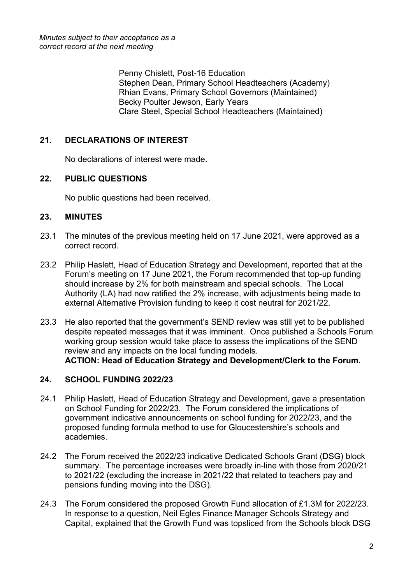Penny Chislett, Post-16 Education Stephen Dean, Primary School Headteachers (Academy) Rhian Evans, Primary School Governors (Maintained) Becky Poulter Jewson, Early Years Clare Steel, Special School Headteachers (Maintained)

## **21. DECLARATIONS OF INTEREST**

No declarations of interest were made.

### **22. PUBLIC QUESTIONS**

No public questions had been received.

#### **23. MINUTES**

- 23.1 The minutes of the previous meeting held on 17 June 2021, were approved as a correct record.
- 23.2 Philip Haslett, Head of Education Strategy and Development, reported that at the Forum's meeting on 17 June 2021, the Forum recommended that top-up funding should increase by 2% for both mainstream and special schools. The Local Authority (LA) had now ratified the 2% increase, with adjustments being made to external Alternative Provision funding to keep it cost neutral for 2021/22.
- 23.3 He also reported that the government's SEND review was still yet to be published despite repeated messages that it was imminent. Once published a Schools Forum working group session would take place to assess the implications of the SEND review and any impacts on the local funding models. **ACTION: Head of Education Strategy and Development/Clerk to the Forum.**

#### **24. SCHOOL FUNDING 2022/23**

- 24.1 Philip Haslett, Head of Education Strategy and Development, gave a presentation on School Funding for 2022/23. The Forum considered the implications of government indicative announcements on school funding for 2022/23, and the proposed funding formula method to use for Gloucestershire's schools and academies.
- 24.2 The Forum received the 2022/23 indicative Dedicated Schools Grant (DSG) block summary. The percentage increases were broadly in-line with those from 2020/21 to 2021/22 (excluding the increase in 2021/22 that related to teachers pay and pensions funding moving into the DSG).
- 24.3 The Forum considered the proposed Growth Fund allocation of £1.3M for 2022/23. In response to a question, Neil Egles Finance Manager Schools Strategy and Capital, explained that the Growth Fund was topsliced from the Schools block DSG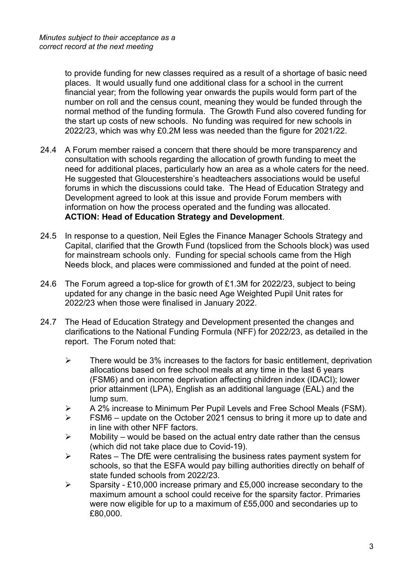to provide funding for new classes required as a result of a shortage of basic need places. It would usually fund one additional class for a school in the current financial year; from the following year onwards the pupils would form part of the number on roll and the census count, meaning they would be funded through the normal method of the funding formula. The Growth Fund also covered funding for the start up costs of new schools. No funding was required for new schools in 2022/23, which was why £0.2M less was needed than the figure for 2021/22.

- 24.4 A Forum member raised a concern that there should be more transparency and consultation with schools regarding the allocation of growth funding to meet the need for additional places, particularly how an area as a whole caters for the need. He suggested that Gloucestershire's headteachers associations would be useful forums in which the discussions could take. The Head of Education Strategy and Development agreed to look at this issue and provide Forum members with information on how the process operated and the funding was allocated. **ACTION: Head of Education Strategy and Development**.
- 24.5 In response to a question, Neil Egles the Finance Manager Schools Strategy and Capital, clarified that the Growth Fund (topsliced from the Schools block) was used for mainstream schools only. Funding for special schools came from the High Needs block, and places were commissioned and funded at the point of need.
- 24.6 The Forum agreed a top-slice for growth of £1.3M for 2022/23, subject to being updated for any change in the basic need Age Weighted Pupil Unit rates for 2022/23 when those were finalised in January 2022.
- 24.7 The Head of Education Strategy and Development presented the changes and clarifications to the National Funding Formula (NFF) for 2022/23, as detailed in the report. The Forum noted that:
	- $\triangleright$  There would be 3% increases to the factors for basic entitlement, deprivation allocations based on free school meals at any time in the last 6 years (FSM6) and on income deprivation affecting children index (IDACI); lower prior attainment (LPA), English as an additional language (EAL) and the lump sum.
	- A 2% increase to Minimum Per Pupil Levels and Free School Meals (FSM).
	- $\triangleright$  FSM6 update on the October 2021 census to bring it more up to date and in line with other NFF factors.
	- $\triangleright$  Mobility would be based on the actual entry date rather than the census (which did not take place due to Covid-19).
	- $\triangleright$  Rates The DfE were centralising the business rates payment system for schools, so that the ESFA would pay billing authorities directly on behalf of state funded schools from 2022/23.
	- Sparsity £10,000 increase primary and £5,000 increase secondary to the maximum amount a school could receive for the sparsity factor. Primaries were now eligible for up to a maximum of £55,000 and secondaries up to £80,000.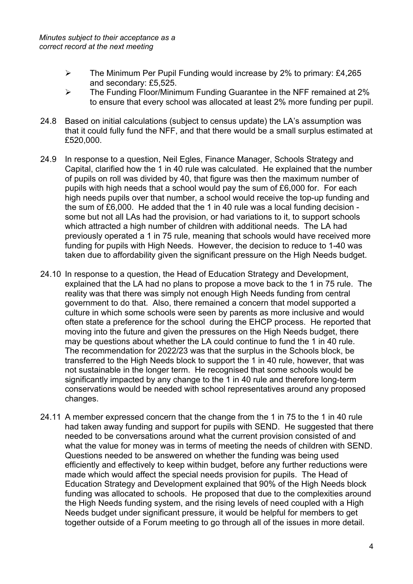- $\triangleright$  The Minimum Per Pupil Funding would increase by 2% to primary: £4.265 and secondary: £5,525.
- The Funding Floor/Minimum Funding Guarantee in the NFF remained at 2% to ensure that every school was allocated at least 2% more funding per pupil.
- 24.8 Based on initial calculations (subject to census update) the LA's assumption was that it could fully fund the NFF, and that there would be a small surplus estimated at £520,000.
- 24.9 In response to a question, Neil Egles, Finance Manager, Schools Strategy and Capital, clarified how the 1 in 40 rule was calculated. He explained that the number of pupils on roll was divided by 40, that figure was then the maximum number of pupils with high needs that a school would pay the sum of £6,000 for. For each high needs pupils over that number, a school would receive the top-up funding and the sum of £6,000. He added that the 1 in 40 rule was a local funding decision some but not all LAs had the provision, or had variations to it, to support schools which attracted a high number of children with additional needs. The LA had previously operated a 1 in 75 rule, meaning that schools would have received more funding for pupils with High Needs. However, the decision to reduce to 1-40 was taken due to affordability given the significant pressure on the High Needs budget.
- 24.10 In response to a question, the Head of Education Strategy and Development, explained that the LA had no plans to propose a move back to the 1 in 75 rule. The reality was that there was simply not enough High Needs funding from central government to do that. Also, there remained a concern that model supported a culture in which some schools were seen by parents as more inclusive and would often state a preference for the school during the EHCP process. He reported that moving into the future and given the pressures on the High Needs budget, there may be questions about whether the LA could continue to fund the 1 in 40 rule. The recommendation for 2022/23 was that the surplus in the Schools block, be transferred to the High Needs block to support the 1 in 40 rule, however, that was not sustainable in the longer term. He recognised that some schools would be significantly impacted by any change to the 1 in 40 rule and therefore long-term conservations would be needed with school representatives around any proposed changes.
- 24.11 A member expressed concern that the change from the 1 in 75 to the 1 in 40 rule had taken away funding and support for pupils with SEND. He suggested that there needed to be conversations around what the current provision consisted of and what the value for money was in terms of meeting the needs of children with SEND. Questions needed to be answered on whether the funding was being used efficiently and effectively to keep within budget, before any further reductions were made which would affect the special needs provision for pupils. The Head of Education Strategy and Development explained that 90% of the High Needs block funding was allocated to schools. He proposed that due to the complexities around the High Needs funding system, and the rising levels of need coupled with a High Needs budget under significant pressure, it would be helpful for members to get together outside of a Forum meeting to go through all of the issues in more detail.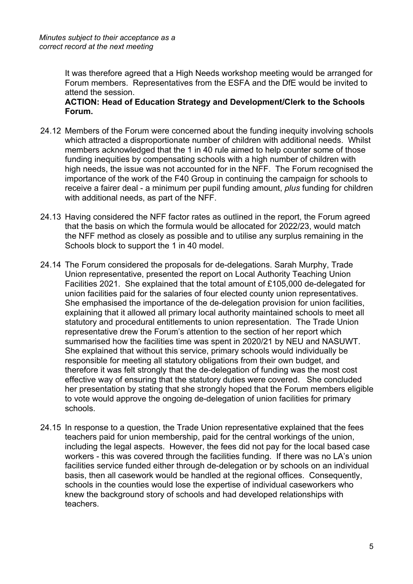It was therefore agreed that a High Needs workshop meeting would be arranged for Forum members. Representatives from the ESFA and the DfE would be invited to attend the session.

**ACTION: Head of Education Strategy and Development/Clerk to the Schools Forum.**

- 24.12 Members of the Forum were concerned about the funding inequity involving schools which attracted a disproportionate number of children with additional needs. Whilst members acknowledged that the 1 in 40 rule aimed to help counter some of those funding inequities by compensating schools with a high number of children with high needs, the issue was not accounted for in the NFF. The Forum recognised the importance of the work of the F40 Group in continuing the campaign for schools to receive a fairer deal - a minimum per pupil funding amount, *plus* funding for children with additional needs, as part of the NFF.
- 24.13 Having considered the NFF factor rates as outlined in the report, the Forum agreed that the basis on which the formula would be allocated for 2022/23, would match the NFF method as closely as possible and to utilise any surplus remaining in the Schools block to support the 1 in 40 model.
- 24.14 The Forum considered the proposals for de-delegations. Sarah Murphy, Trade Union representative, presented the report on Local Authority Teaching Union Facilities 2021. She explained that the total amount of £105,000 de-delegated for union facilities paid for the salaries of four elected county union representatives. She emphasised the importance of the de-delegation provision for union facilities, explaining that it allowed all primary local authority maintained schools to meet all statutory and procedural entitlements to union representation. The Trade Union representative drew the Forum's attention to the section of her report which summarised how the facilities time was spent in 2020/21 by NEU and NASUWT. She explained that without this service, primary schools would individually be responsible for meeting all statutory obligations from their own budget, and therefore it was felt strongly that the de-delegation of funding was the most cost effective way of ensuring that the statutory duties were covered. She concluded her presentation by stating that she strongly hoped that the Forum members eligible to vote would approve the ongoing de-delegation of union facilities for primary schools.
- 24.15 In response to a question, the Trade Union representative explained that the fees teachers paid for union membership, paid for the central workings of the union, including the legal aspects. However, the fees did not pay for the local based case workers - this was covered through the facilities funding. If there was no LA's union facilities service funded either through de-delegation or by schools on an individual basis, then all casework would be handled at the regional offices. Consequently, schools in the counties would lose the expertise of individual caseworkers who knew the background story of schools and had developed relationships with teachers.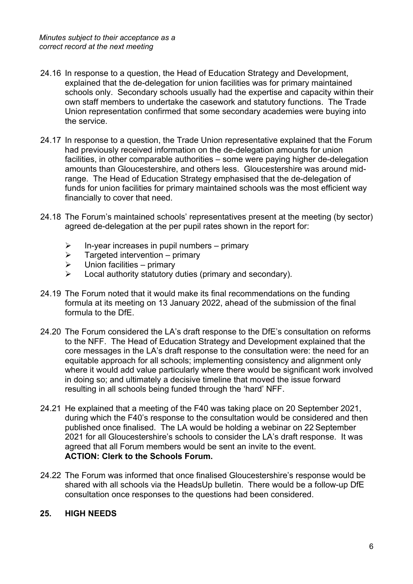- 24.16 In response to a question, the Head of Education Strategy and Development, explained that the de-delegation for union facilities was for primary maintained schools only. Secondary schools usually had the expertise and capacity within their own staff members to undertake the casework and statutory functions. The Trade Union representation confirmed that some secondary academies were buying into the service.
- 24.17 In response to a question, the Trade Union representative explained that the Forum had previously received information on the de-delegation amounts for union facilities, in other comparable authorities – some were paying higher de-delegation amounts than Gloucestershire, and others less. Gloucestershire was around midrange. The Head of Education Strategy emphasised that the de-delegation of funds for union facilities for primary maintained schools was the most efficient way financially to cover that need.
- 24.18 The Forum's maintained schools' representatives present at the meeting (by sector) agreed de-delegation at the per pupil rates shown in the report for:
	- $\triangleright$  In-year increases in pupil numbers primary
	- $\triangleright$  Targeted intervention primary
	- $\triangleright$  Union facilities primary
	- $\triangleright$  Local authority statutory duties (primary and secondary).
- 24.19 The Forum noted that it would make its final recommendations on the funding formula at its meeting on 13 January 2022, ahead of the submission of the final formula to the DfE.
- 24.20 The Forum considered the LA's draft response to the DfE's consultation on reforms to the NFF. The Head of Education Strategy and Development explained that the core messages in the LA's draft response to the consultation were: the need for an equitable approach for all schools; implementing consistency and alignment only where it would add value particularly where there would be significant work involved in doing so; and ultimately a decisive timeline that moved the issue forward resulting in all schools being funded through the 'hard' NFF.
- 24.21 He explained that a meeting of the F40 was taking place on 20 September 2021, during which the F40's response to the consultation would be considered and then published once finalised. The LA would be holding a webinar on 22 September 2021 for all Gloucestershire's schools to consider the LA's draft response. It was agreed that all Forum members would be sent an invite to the event. **ACTION: Clerk to the Schools Forum.**
- 24.22 The Forum was informed that once finalised Gloucestershire's response would be shared with all schools via the HeadsUp bulletin. There would be a follow-up DfE consultation once responses to the questions had been considered.

#### **25. HIGH NEEDS**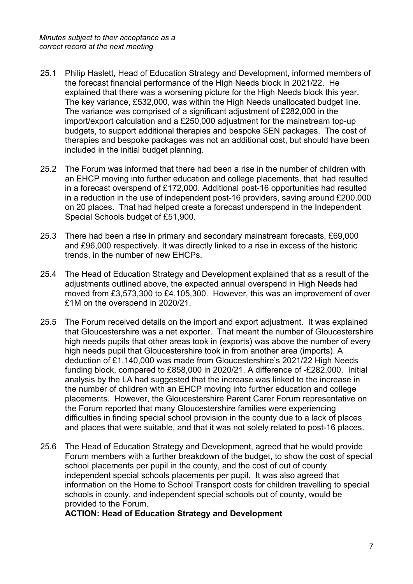- 25.1 Philip Haslett, Head of Education Strategy and Development, informed members of the forecast financial performance of the High Needs block in 2021/22. He explained that there was a worsening picture for the High Needs block this year. The key variance, £532,000, was within the High Needs unallocated budget line. The variance was comprised of a significant adjustment of £282,000 in the import/export calculation and a £250,000 adjustment for the mainstream top-up budgets, to support additional therapies and bespoke SEN packages. The cost of therapies and bespoke packages was not an additional cost, but should have been included in the initial budget planning.
- 25.2 The Forum was informed that there had been a rise in the number of children with an EHCP moving into further education and college placements, that had resulted in a forecast overspend of £172,000. Additional post-16 opportunities had resulted in a reduction in the use of independent post-16 providers, saving around £200,000 on 20 places. That had helped create a forecast underspend in the Independent Special Schools budget of £51,900.
- 25.3 There had been a rise in primary and secondary mainstream forecasts, £69,000 and £96,000 respectively. It was directly linked to a rise in excess of the historic trends, in the number of new EHCPs.
- 25.4 The Head of Education Strategy and Development explained that as a result of the adjustments outlined above, the expected annual overspend in High Needs had moved from £3,573,300 to £4,105,300. However, this was an improvement of over £1M on the overspend in 2020/21.
- 25.5 The Forum received details on the import and export adjustment. It was explained that Gloucestershire was a net exporter. That meant the number of Gloucestershire high needs pupils that other areas took in (exports) was above the number of every high needs pupil that Gloucestershire took in from another area (imports). A deduction of £1,140,000 was made from Gloucestershire's 2021/22 High Needs funding block, compared to £858,000 in 2020/21. A difference of -£282,000. Initial analysis by the LA had suggested that the increase was linked to the increase in the number of children with an EHCP moving into further education and college placements. However, the Gloucestershire Parent Carer Forum representative on the Forum reported that many Gloucestershire families were experiencing difficulties in finding special school provision in the county due to a lack of places and places that were suitable, and that it was not solely related to post-16 places.
- 25.6 The Head of Education Strategy and Development, agreed that he would provide Forum members with a further breakdown of the budget, to show the cost of special school placements per pupil in the county, and the cost of out of county independent special schools placements per pupil. It was also agreed that information on the Home to School Transport costs for children travelling to special schools in county, and independent special schools out of county, would be provided to the Forum.

**ACTION: Head of Education Strategy and Development**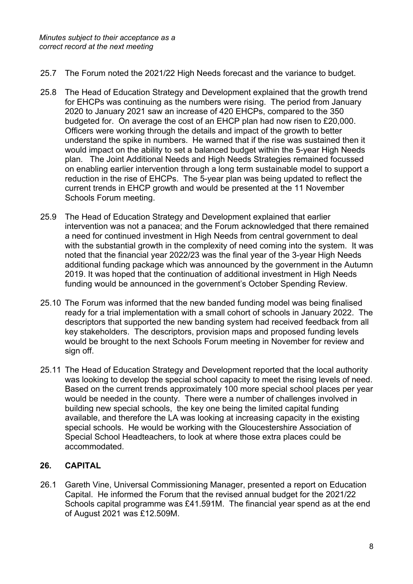- 25.7 The Forum noted the 2021/22 High Needs forecast and the variance to budget.
- 25.8 The Head of Education Strategy and Development explained that the growth trend for EHCPs was continuing as the numbers were rising. The period from January 2020 to January 2021 saw an increase of 420 EHCPs, compared to the 350 budgeted for. On average the cost of an EHCP plan had now risen to £20,000. Officers were working through the details and impact of the growth to better understand the spike in numbers. He warned that if the rise was sustained then it would impact on the ability to set a balanced budget within the 5-year High Needs plan. The Joint Additional Needs and High Needs Strategies remained focussed on enabling earlier intervention through a long term sustainable model to support a reduction in the rise of EHCPs. The 5-year plan was being updated to reflect the current trends in EHCP growth and would be presented at the 11 November Schools Forum meeting.
- 25.9 The Head of Education Strategy and Development explained that earlier intervention was not a panacea; and the Forum acknowledged that there remained a need for continued investment in High Needs from central government to deal with the substantial growth in the complexity of need coming into the system. It was noted that the financial year 2022/23 was the final year of the 3-year High Needs additional funding package which was announced by the government in the Autumn 2019. It was hoped that the continuation of additional investment in High Needs funding would be announced in the government's October Spending Review.
- 25.10 The Forum was informed that the new banded funding model was being finalised ready for a trial implementation with a small cohort of schools in January 2022. The descriptors that supported the new banding system had received feedback from all key stakeholders. The descriptors, provision maps and proposed funding levels would be brought to the next Schools Forum meeting in November for review and sign off.
- 25.11 The Head of Education Strategy and Development reported that the local authority was looking to develop the special school capacity to meet the rising levels of need. Based on the current trends approximately 100 more special school places per year would be needed in the county. There were a number of challenges involved in building new special schools, the key one being the limited capital funding available, and therefore the LA was looking at increasing capacity in the existing special schools. He would be working with the Gloucestershire Association of Special School Headteachers, to look at where those extra places could be accommodated.

#### **26. CAPITAL**

26.1 Gareth Vine, Universal Commissioning Manager, presented a report on Education Capital. He informed the Forum that the revised annual budget for the 2021/22 Schools capital programme was £41.591M. The financial year spend as at the end of August 2021 was £12.509M.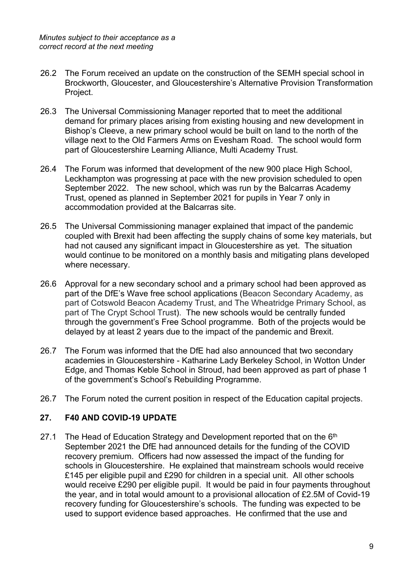- 26.2 The Forum received an update on the construction of the SEMH special school in Brockworth, Gloucester, and Gloucestershire's Alternative Provision Transformation Project.
- 26.3 The Universal Commissioning Manager reported that to meet the additional demand for primary places arising from existing housing and new development in Bishop's Cleeve, a new primary school would be built on land to the north of the village next to the Old Farmers Arms on Evesham Road. The school would form part of Gloucestershire Learning Alliance, Multi Academy Trust.
- 26.4 The Forum was informed that development of the new 900 place High School, Leckhampton was progressing at pace with the new provision scheduled to open September 2022. The new school, which was run by the Balcarras Academy Trust, opened as planned in September 2021 for pupils in Year 7 only in accommodation provided at the Balcarras site.
- 26.5 The Universal Commissioning manager explained that impact of the pandemic coupled with Brexit had been affecting the supply chains of some key materials, but had not caused any significant impact in Gloucestershire as yet. The situation would continue to be monitored on a monthly basis and mitigating plans developed where necessary.
- 26.6 Approval for a new secondary school and a primary school had been approved as part of the DfE's Wave free school applications (Beacon Secondary Academy, as part of Cotswold Beacon Academy Trust, and The Wheatridge Primary School, as part of The Crypt School Trust). The new schools would be centrally funded through the government's Free School programme. Both of the projects would be delayed by at least 2 years due to the impact of the pandemic and Brexit.
- 26.7 The Forum was informed that the DfE had also announced that two secondary academies in Gloucestershire - Katharine Lady Berkeley School, in Wotton Under Edge, and Thomas Keble School in Stroud, had been approved as part of phase 1 of the government's School's Rebuilding Programme.
- 26.7 The Forum noted the current position in respect of the Education capital projects.

#### **27. F40 AND COVID-19 UPDATE**

27.1 The Head of Education Strategy and Development reported that on the 6<sup>th</sup> September 2021 the DfE had announced details for the funding of the COVID recovery premium. Officers had now assessed the impact of the funding for schools in Gloucestershire. He explained that mainstream schools would receive £145 per eligible pupil and £290 for children in a special unit. All other schools would receive £290 per eligible pupil. It would be paid in four payments throughout the year, and in total would amount to a provisional allocation of £2.5M of Covid-19 recovery funding for Gloucestershire's schools. The funding was expected to be used to support evidence based approaches. He confirmed that the use and